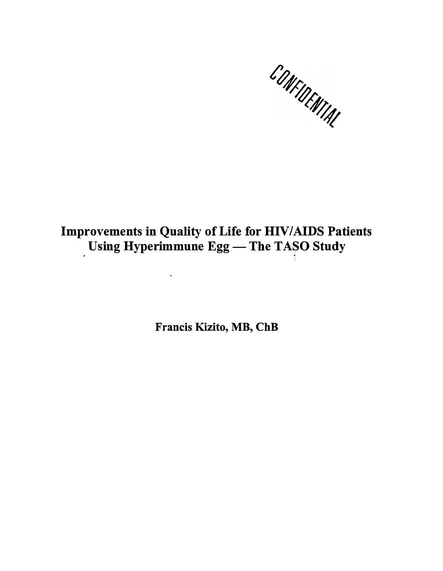CONFIDENTIAL

# **Improvements in Quality of Life for HIV/AIDS Patients**  Using Hyperimmune Egg — The TASO Study

**Francis Kizito, MB, ChB**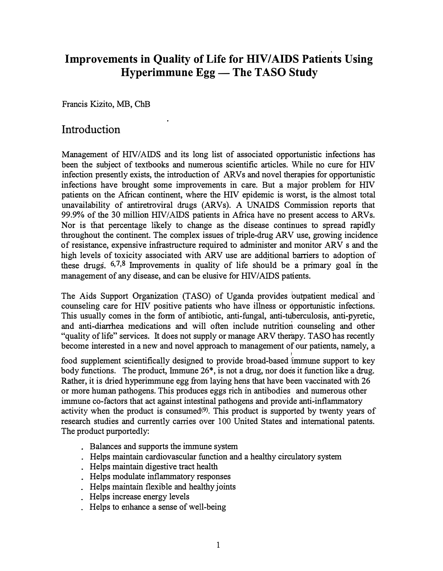## **Improvements in Quality of Life for HIV/AIDS Patients Using Hyperimmune Egg — The TASO Study**

Francis Kizito, MB, ChB

## Introduction

Management of HIV/AIDS and its long list of associated opportunistic infections has been the subject of textbooks and numerous scientific articles. While no cure for HIV infection presently exists, the introduction of ARVs and novel therapies for opportunistic infections have brought some improvements in care. But a major problem for HIV patients on the African continent, where the HIV epidemic is worst, is the almost total unavailability of antiretroviral drugs (ARVs). A UNAIDS Commission reports that 99.9% of the 30 million HIV/AIDS patients in Africa have no present access to ARVs. Nor is that percentage likely to change as the disease continues to spread rapidly throughout the continent. The complex issues of triple-drug ARV use, growing incidence of resistance, expensive infrastructure required to administer and monitor ARV s and the high levels of toxicity associated with ARV use are additional barriers to adoption of these drugs.  $6,7,8$  Improvements in quality of life should be a primary goal in the management of any disease, and can be elusive for HIV/AIDS patients.

The Aids Support Organization (TASO) of Uganda provides butpatient medical and counseling care for HIV positive patients who have illness or opportunistic infections. This usually comes in the form of antibiotic, anti-fungal, anti-tuberculosis, anti-pyretic, and anti-diarrhea medications and will often include nutrition. counseling and other "quality of life" services. It does not supply or manage ARV therapy. TASO has recently become interested in a new and novel approach to management of our patients, namely, a

food supplement scientifically designed to provide broad-based immune support to key body functions. The product, Immune 26\*, is not a drug, nor does it function like a drug. Rather, it is dried hyperimmune egg from laying hens that have been vaccinated with 26 or more human pathogens. This produces eggs rich in antibodies . and numerous other immune co-factors that act against intestinal pathogens and provide anti-inflammatory activity when the product is consumed $(9)$ . This product is supported by twenty years of research studies and currently carries over 100 United States and international patents. The product purportedly:

- Balances and supports the immune system
- Helps maintain cardiovascular function and a healthy circulatory system
- . Helps maintain digestive tract health
- . Helps modulate inflammatory responses
- . Helps maintain flexible and healthy joints
- . Helps increase energy levels
- . Helps to enhance a sense of well-being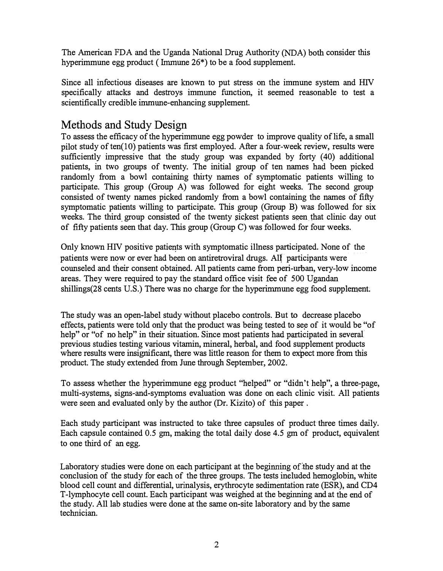The American FDA and the Uganda National Drug Authority (NDA) both consider this hyperimmune egg product ( Immune 26\*) to be a food supplement.

Since all infectious diseases are known to put stress on the immune system and HN specifically attacks and destroys immune function, it seemed reasonable to test a scientifically credible immune-enhancing supplement.

## Methods and Study Design

To assess the efficacy of the hyperimmune egg powder to improve quality of life, a small pilot study of ten $(10)$  patients was first employed. After a four-week review, results were sufficiently impressive that the study group was expanded by forty (40) additional patients, in two groups of twenty. The initial group of ten names had been picked randomly from a bowl containing thirty names of symptomatic patients willing to participate. This group (Group A) was followed for eight weeks. The second group consisted of twenty names picked randomly from a bowl containing the names of fifty symptomatic patients willing to participate. This group (Group B) was followed for six weeks. The third group consisted of the twenty sickest patients seen that clinic day out of fifty patients seen that day. This group (Group C) was followed for four weeks.

Only known HIV positive patients with symptomatic illness participated. None of the patients were now or ever had been on antiretroviral drugs. All participants were counseled and their consent obtained. All patients came from peri-urban, very-fow income areas. They were required to pay the standard office visit fee of 500 Ugandan shillings(28 cents U.S.) There was no charge for the hyperimmune egg food supplement

The study was an open-label study without placebo controls. But to decrease placebo effects, patients were told only that the product was being tested to see of it would be "of help" or "of no help" in their situation. Since most patients had participated in several previous studies testing various vitamin, mineral, herbal, and food supplement products where results were insignificant, there was little reason for them to expect more from this product. The study extended from June through September, 2002.

To assess whether the hyperimmune egg product "helped" or "didn't help", a three-page, multi-systems, signs-and-symptoms evaluation was done on each clinic visit. All patients were seen and evaluated only by the author (Dr. Kizito) of this paper .

Each study participant was instructed to take three capsules of product three times daily. Each capsule contained 0.5 gm, making the total daily dose 4.5 gm of product, equivalent to one third of an egg.

Laboratory studies were done on each participant at the beginning of the study and at the conclusion of the study for each of the three groups. The tests ineluded hemoglobin, white blood cell count and differential, urinalysis, erythrocyte sedimentation rate (ESR), and CD4 T-lymphocyte cell count. Each participant was weighed at the beginning and at the end of the study. All lab studies were done at the same on-site laboratory and by the same technician.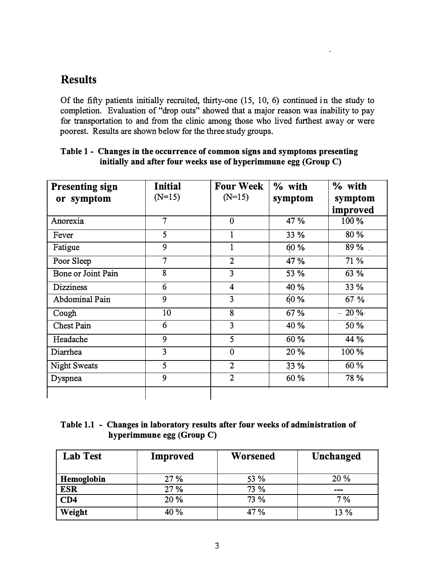## **Results**

Of the fifty patients initially recruited, thirty-one (15, 10, 6) continued in the study to completion. Evaluation of "drop outs" showed that a major reason was inability to pay for transportation to and from the clinic among those who lived furthest away or were poorest. Results are shown below for the three study groups.

| <b>Presenting sign</b> | <b>Initial</b> | <b>Four Week</b>        | % with  | % with   |
|------------------------|----------------|-------------------------|---------|----------|
| or symptom             | $(N=15)$       | $(N=15)$                | symptom | symptom  |
|                        |                |                         |         | improved |
| Anorexia               | 7              | $\theta$                | 47 %    | 100%     |
| Fever                  | 5              |                         | 33 %    | 80 %     |
| Fatigue                | 9              |                         | 60%     | $89\%$ . |
| Poor Sleep             | 7              | $\overline{2}$          | 47 %    | 71 %     |
| Bone or Joint Pain     | 8              | 3                       | 53 %    | $.63\%$  |
| <b>Dizziness</b>       | 6              | $\overline{4}$          | 40 %    | 33 %     |
| <b>Abdominal Pain</b>  | 9              | 3                       | 60%     | 67.%     |
| Cough                  | 10             | 8                       | 67 %    | $-20 \%$ |
| Chest Pain             | 6              | $\overline{\mathbf{3}}$ | 40 %    | 50 %     |
| Headache               | 9              | 5                       | 60 %    | 44 %     |
| Diarrhea               | 3              | $\overline{0}$          | 20 %    | 100 %    |
| <b>Night Sweats</b>    | 5              | $\overline{2}$          | 33 %    | 60 %     |
| Dyspnea                | 9              | $\overline{2}$          | 60 %    | 78 %     |
|                        |                |                         |         |          |

#### **Table 1 - Changes in the occurrence of common signs and symptoms presenting initially and after four weeks use of hyperimmune egg (Group C)**

### **Table 1.1 - Changes in laboratory results after four weeks of administration of hyperimmune egg (Group C)**

| <b>Lab Test</b> | Improved | Worsened | <b>Unchanged</b> |  |
|-----------------|----------|----------|------------------|--|
|                 |          |          |                  |  |
| Hemoglobin      | 27 %     | 53 %     | 20%              |  |
| <b>ESR</b>      | 27 %     | 73 %     | ---              |  |
| CD4             | 20 %     | 73 %     | 7%               |  |
| Weight          | 40 %     | 47 %     | 13 %             |  |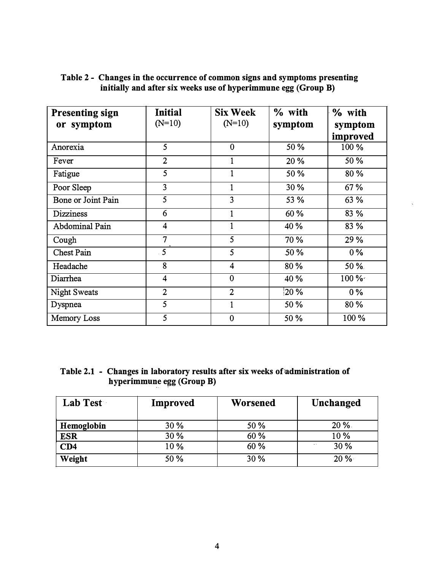| <b>Presenting sign</b> | <b>Initial</b>          | <b>Six Week</b> | % with  | % with   |
|------------------------|-------------------------|-----------------|---------|----------|
| or symptom             | $(N=10)$                | $(N=10)$        | symptom | symptom  |
|                        |                         |                 |         | improved |
| Anorexia               | 5                       | $\mathbf{0}$    | 50 %    | 100 %    |
| Fever                  | $\overline{2}$          | 1               | 20 %    | 50 %     |
| Fatigue                | 5                       | $\mathbf{1}$    | 50 %    | 80 %     |
| Poor Sleep             | 3                       | 1               | 30 %    | 67 %     |
| Bone or Joint Pain     | 5                       | 3               | 53 %    | 63 %     |
| <b>Dizziness</b>       | 6                       | $\mathbf{1}$    | 60 %    | 83 %     |
| <b>Abdominal Pain</b>  | 4                       | 1               | 40 %    | 83 %     |
| Cough                  | 7                       | 5               | 70 %    | 29 %     |
| <b>Chest Pain</b>      | 5                       | 5               | 50 %    | $0\%$    |
| Headache               | 8                       | 4               | 80 %    | 50 %     |
| Diarrhea               | $\overline{\mathbf{4}}$ | $\mathbf{0}$    | 40 %    | 100 %    |
| <b>Night Sweats</b>    | $\overline{2}$          | $\overline{2}$  | 20 %    | $0\%$    |
| Dyspnea                | $\overline{5}$          | 1               | 50 %    | 80 %     |
| Memory Loss            | 5                       | $\mathbf{0}$    | 50 %    | 100%     |

### Table 2 - Changes in the occurrence of common signs and symptoms presenting initially and after six weeks use of hyperimmune egg (Group B)

### Table 2.1 - Changes in laboratory results after six weeks of administration of hyperimmune egg (Group B)

| <b>Lab Test</b> | Improved | Worsened | Unchanged      |
|-----------------|----------|----------|----------------|
| Hemoglobin      | 30 %     | 50 %     | $20\%$         |
| <b>ESR</b>      | 30 %     | 60 %     | 10 %           |
| CD4             | 10 %     | 60 %     | 30 %<br>$\sim$ |
| Weight          | 50 %     | 30 %     | $20\%$         |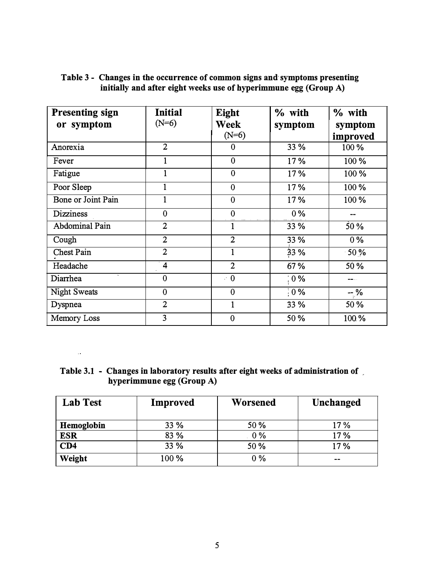| <b>Presenting sign</b>    | Initial                 | Eight          | % with          | % with       |
|---------------------------|-------------------------|----------------|-----------------|--------------|
| or symptom                | $(N=6)$                 | <b>Week</b>    | symptom         | symptom      |
|                           |                         | $(N=6)$        |                 | improved     |
| Anorexia                  | $\overline{2}$          | $\bf{0}$       | 33 %            | 100 %        |
| Fever                     |                         | $\mathbf{0}$   | 17%             | 100 %        |
| Fatigue                   |                         | $\mathbf{0}$   | 17%             | 100 %        |
| Poor Sleep                |                         | $\mathbf{0}$   | 17%             | 100 %        |
| <b>Bone or Joint Pain</b> |                         | $\mathbf{0}$   | 17%             | 100 %        |
| <b>Dizziness</b>          | $\mathbf{0}$            | $\mathbf{0}$   | $0\%$           |              |
| <b>Abdominal Pain</b>     | $\overline{2}$          |                | 33 %            | 50%          |
| Cough                     | $\overline{2}$          | $\overline{2}$ | 33 %            | $0\%$        |
| Chest Pain                | $\overline{2}$          | 1              | 33%             | $\cdot$ 50 % |
| Headache                  | $\overline{\mathbf{4}}$ | $\overline{2}$ | 67%             | 50 %         |
| Diarrhea                  | $\mathbf{0}$            | $\cdot$ 0      | $0\%$           |              |
| <b>Night Sweats</b>       | $\mathbf{0}$            | $\mathbf{0}$   | $\frac{1}{2}0%$ | $-$ %        |
| Dyspnea                   | $\overline{2}$          | 1              | 33 %            | 50 %         |
| Memory Loss               | 3                       | $\overline{0}$ | 50 %            | 100 %        |

### Table 3 - Changes in the occurrence of common signs and· symptoms presenting initially and after eight weeks use of hyperimmune egg (Group A)

Table 3.1 - Changes in laboratory results after eight weeks of administration of , hyperimmune egg (Group A)

 $\bar{\omega}$ 

| <b>Lab Test</b> | <b>Improved</b> | <b>Worsened</b> | <b>Unchanged</b> |
|-----------------|-----------------|-----------------|------------------|
|                 |                 |                 |                  |
| Hemoglobin      | 33 %            | 50 %            | 17 %             |
| <b>ESR</b>      | 83 %            | $0\%$           | 17%              |
| CD4             | 33 %            | 50 %            | 17%              |
| Weight          | 100 %           | $0\%$           | --               |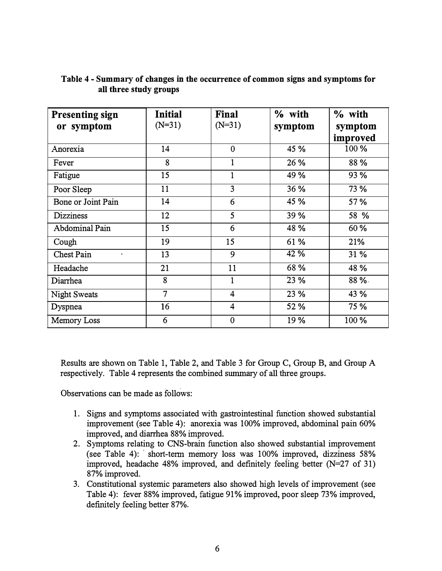| <b>Presenting sign</b> | <b>Initial</b> | Final                   | % with  | % with   |
|------------------------|----------------|-------------------------|---------|----------|
| or symptom             | $(N=31)$       | $(N=31)$                | symptom | symptom  |
|                        |                |                         |         | improved |
| Anorexia               | 14             | $\overline{0}$          | 45 %    | 100 %    |
| Fever                  | 8              | $\mathbf{1}$            | 26 %    | 88 %     |
| Fatigue                | 15             | 1                       | 49 %    | 93 %     |
| Poor Sleep             | 11             | 3                       | 36 %    | 73 %     |
| Bone or Joint Pain     | 14             | 6                       | 45 %    | 57%      |
| Dizziness              | 12             | 5                       | 39 %    | 58 %     |
| <b>Abdominal Pain</b>  | 15             | 6                       | 48 %    | 60 %     |
| Cough                  | 19             | 15                      | 61 %    | 21%      |
| Chest Pain<br>÷.       | 13             | 9                       | 42 %    | 31%      |
| Headache               | 21             | 11                      | 68 %    | 48 %     |
| Diarrhea               | 8              | $\mathbf{1}$            | 23%     | 88%.     |
| <b>Night Sweats</b>    | $\overline{7}$ | $\overline{\mathbf{4}}$ | 23 %    | 43 %     |
| Dyspnea                | 16             | $\overline{4}$          | 52 %    | 75 %     |
| <b>Memory Loss</b>     | 6              | $\mathbf{0}$            | 19 %    | 100 %    |

#### Table 4 - Summary of changes in the occurrence of common signs and symptoms for all three study groups

Results are shown on Table 1, Table 2, and Table 3 for Group C, Group B, and Group A respectively. Table 4 represents the combined summary of all three groups.

Observations can be made as follows:

- I. Signs and symptoms associated with gastrointestinal function showed substantial improvement (see Table 4): anorexia was 100% improved, abdominal pain 60% improved, and diarrhea 88% improved.
- 2. Symptoms relating to CNS-brain function also showed substantial improvement (see Table 4): short-term memory loss was 100% improved, dizziness 58% improved, headache 48% improved, and definitely feeling better  $(N=27 \text{ of } 31)$ 87% improved.
- 3. Constitutional systemic parameters also showed high levels of improvement ( see Table 4): fever 88% improved, fatigue 91% improved, poor sleep 73% improved, definitely feeling better 87%.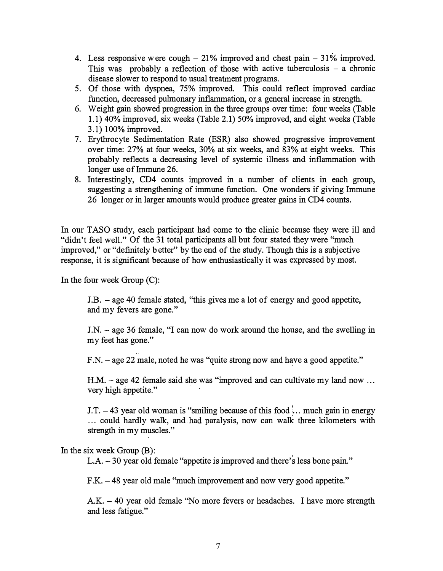- 4. Less responsive were cough  $-21\%$  improved and chest pain  $-31\%$  improved. This was probably a reflection of those with active tuberculosis  $-$  a chronic disease slower to respond to usual treatment programs.
- 5. Of those with dyspnea, 75% improved. This could reflect improved cardiac function, decreased pulmonary inflammation, or a general increase in strength.
- 6. Weight gain showed progression in the three groups over time: four weeks (Table 1.1) 40% improved, six weeks (Table 2.1) 50% improved, and eight weeks (Table 3 .1) 100% improved.
- 7. Erythrocyte Sedimentation Rate (ESR) also showed progressive improvement over time: 27% at four weeks, 30% at six weeks, and 83% at eight weeks. This probably reflects a decreasing level of systemic illness and inflammation with longer use of Immune 26.
- 8. Interestingly, CD4 counts improved in a number of clients in each group, suggesting a strengthening of immune function. One wonders if giving Immune 26 longer or in larger amounts would produce greater gains in CD4 counts.

In our TASO study, each participant had come to the clinic because they were ill and "didn't feel well." Of the 31 total participants all but four stated they were "much improved," or "definitely b etter" by the end of the study. Though this is a subjective response, it is significant because of how enthusiastically it was expressed by most.

In the four week Group (C):

J.B. -age 40 female stated, "this gives me a lot of energy and good appetite, and my fevers are gone."

J.N. - age 36 female, "I can now do work around the house, and the swelling in my feet has gone."

F.N. – age 22 male, noted he was "quite strong now and have a good appetite."

H.M. - age 42 female said she was "improved and can cultivate my land now ... very high appetite."

J.T.  $-43$  year old woman is "smiling because of this food... much gain in energy ... could hardly walk, and had paralysis, now can walk three kilometers with strength in my muscles."

#### In the six week Group  $(B)$ :

L.A. - 30 year old female "appetite is improved and there's less bone pain."

F.K.  $-48$  year old male "much improvement and now very good appetite."

A.K. -40 year old female ''No more fevers or headaches. I have more strength and less fatigue."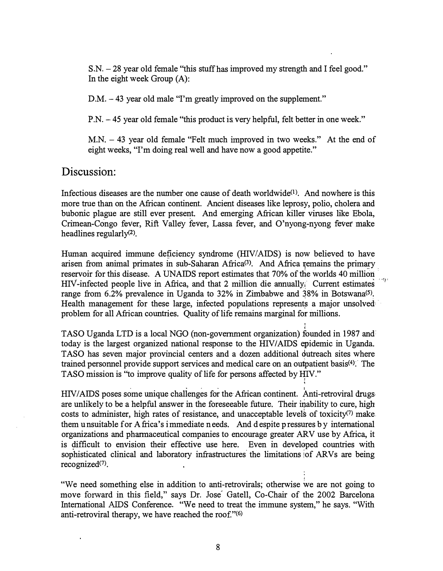S.N.  $-28$  year old female "this stuff has improved my strength and I feel good." In the eight week Group (A):

D.M. - 43 year old male "I'm greatly improved on the supplement."

P.N. - 45 year old female "this product is very helpful, felt better in one week."

M.N. -43 year old female "Felt much improved in two weeks." At the end of eight weeks, "I'm doing real well and have now a good appetite."

### Discussion:

Infectious diseases are the number one cause of death worldwide<sup>(1)</sup>. And nowhere is this more true than on the African continent. Ancient diseases like leprosy, polio, cholera and bubonic plague are still ever present. And emerging African killer viruses like Ebola, Crimean-Congo fever, Rift Valley fever, Lassa fever, and O'nyong-nyong fever make headlines regularly $(2)$ .

Human acquired immune deficiency syndrome (HIV/AIDS) is now believed to have arisen from animal primates in sub-Saharan Africa<sup>(3)</sup>. And Africa remains the primary reservoir for this disease. A UNAIDS report estimates that 70% of the worlds 40 million  $HIV$ -infected people live in Africa, and that 2 million die annually; Current estimates range from  $6.2\%$  prevalence in Uganda to  $32\%$  in Zimbabwe and  $38\%$  in Botswana<sup>(5)</sup>. Health management for these large, infected populations represents a major unsolved problem for all African countries. Quality of life remains marginal for millions.

TASO Uganda LTD is a local NGO (non-government organization) founded in 1987 and: today is the largest organized national response to the HIV/AIDS epidemic in Uganda. TASO has seven major provincial centers and a dozen additional dutreach sites where trained personnel provide support services and medical care on an outpatient basis<sup>(4)</sup>. The TASO mission is "to improve quality of life for persons affected by HIV."

HIV/AIDS poses some unique challenges for the African continent. Anti-retroviral drugs are unlikely to be a helpful answer in the foreseeable future. Their inability to cure, high costs to administer, high rates of resistance, and unacceptable levels of toxicity<sup>(7)</sup> make. them u nsuitable for Africa's i mmediate n eeds. And d espite p ressures by international organizations and pharmaceutical companies to encourage greater ARV use by Africa, it is difficult to envision their effective use here. Even in developed countries with sophisticated clinical and laboratory infrastructures the limitations of ARVs are being recognized $(7)$ .

"We need something else in addition to anti-retrovirals; otherwise we are not going to move forward in this field," says Dr. Jose<sup>-</sup> Gatell, Co-Chair of the 2002 Barcelona International AIDS Conference. "We need to treat the immune system," he says. "With anti-retroviral therapy, we have reached the roof."(6)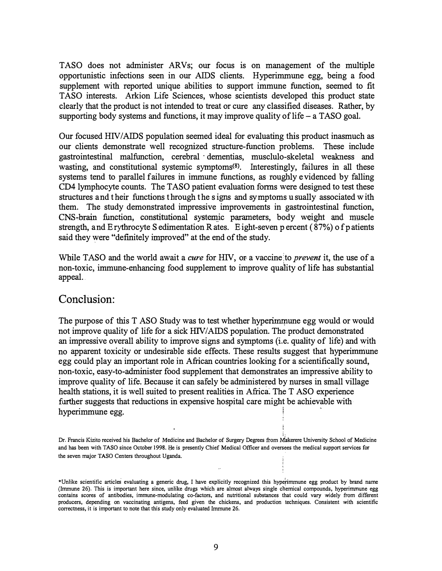TASO does not administer ARVs; our focus is on management of the multiple opportunistic infections seen in our AIDS clients. Hyperimmune egg, being a food supplement with reported unique abilities to support immune function, seemed to fit TASO interests. Arkion Life Sciences, whose scientists developed this product state clearly that the product is not intended to treat or cure any classified diseases. Rather, by supporting body systems and functions, it may improve quality of life  $-$  a TASO goal.

Our focused HIV/AIDS population seemed ideal for evaluating this product inasmuch as our clients demonstrate well recognized structure-function problems. These include gastrointestinal malfunction, cerebral dementias, musclulo-skeletal weakness and wasting, and constitutional systemic symptoms<sup>(8)</sup>. Interestingly, failures in all these systems tend to parallel failures in immune functions, as roughly e videnced by falling CD4 lymphocyte counts. The TASO patient evaluation forms were designed to test these structures a nd t heir functions through t he s igns and symptoms u sually associated w ith them. The study demonstrated impressive improvements in gastrointestinal function, CNS-brain function, constitutional systemic parameters, body weight and muscle strength, and Erythrocyte S edimentation R ates. Eight-seven p ercent  $(87%)$  of p atients said they were "definitely improved" at the end of the study.

While TASO and the world await a *cure* for HN, or- a vaccine;to *prevent* it, the use of a non-toxic, immune-enhancing food supplement to improve quality of life has substantial appeal..

### **Conclusion:**

The purpose of this T ASO Study was to test whether hyperimmune egg would or would not improve quality of life for a sick RN/AIDS population. The product demonstrated an impressive overall ability to improve signs and symptoms (i.e. quality of life) and with no apparent toxicity or undesirable side effects. These results suggest that hyperimniune egg could play an important role in African countries looking for a scientifically sound, non-toxic, easy-to-administer food supplement that demonstrates an impressive ability to improve quality of life. Because it can safely be administered by nurses in small village health stations, it is well suited to present realities in Africa: The T ASO experience further suggests that reductions in expensive hospital care might be achievable with· hyperimmune egg.

**Dr. Francis Kizito received his Bachelor of Medicine and Bachelor of Surgery Degrees from Makerere University School of Medicine and has been with TA.SO since October 1998. I:Ie is presently Chief Medical Officer and oversees the medical support services for the seven major TASO Centers throughout Uganda.** 

<sup>\*</sup>Unlike scientific articles evaluating a generic drug, I have explicitly recognized this hyperimmune egg product by brand name **(Immune 26). This is important here since, unlike drugs which are almost always single chemical compounds, hyperimmune egg contains scores of antibodies, immune-modulating co-factors, and nutritional substances that could vary widely from different producers, depending on vaccinating antigens, feed given the chickens, and production techniques. Consistent with scientific correctness, it is important to note that this study only evaluated Immune 26.**